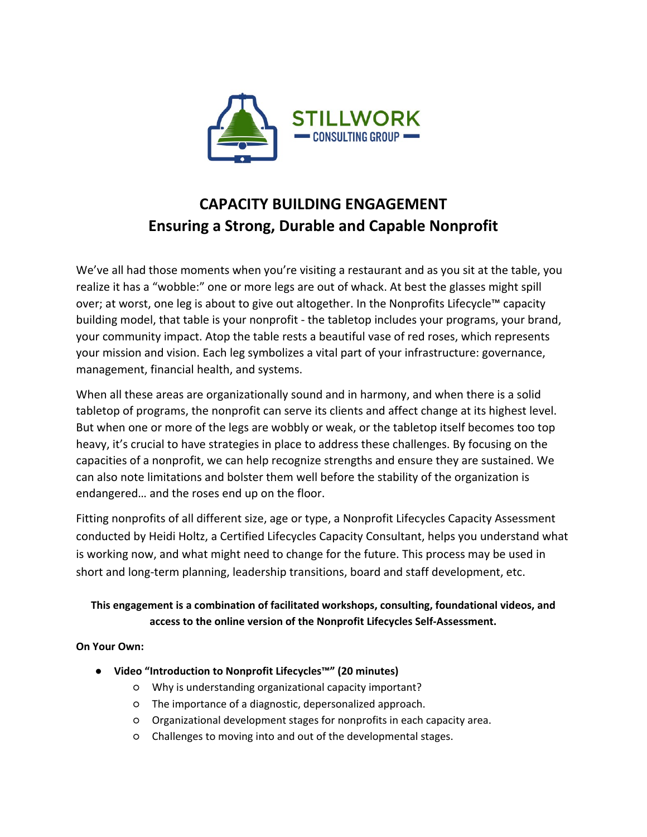

# **CAPACITY BUILDING ENGAGEMENT Ensuring a Strong, Durable and Capable Nonprofit**

We've all had those moments when you're visiting a restaurant and as you sit at the table, you realize it has a "wobble:" one or more legs are out of whack. At best the glasses might spill over; at worst, one leg is about to give out altogether. In the Nonprofits Lifecycle™ capacity building model, that table is your nonprofit - the tabletop includes your programs, your brand, your community impact. Atop the table rests a beautiful vase of red roses, which represents your mission and vision. Each leg symbolizes a vital part of your infrastructure: governance, management, financial health, and systems.

When all these areas are organizationally sound and in harmony, and when there is a solid tabletop of programs, the nonprofit can serve its clients and affect change at its highest level. But when one or more of the legs are wobbly or weak, or the tabletop itself becomes too top heavy, it's crucial to have strategies in place to address these challenges. By focusing on the capacities of a nonprofit, we can help recognize strengths and ensure they are sustained. We can also note limitations and bolster them well before the stability of the organization is endangered… and the roses end up on the floor.

Fitting nonprofits of all different size, age or type, a Nonprofit Lifecycles Capacity Assessment conducted by Heidi Holtz, a Certified Lifecycles Capacity Consultant, helps you understand what is working now, and what might need to change for the future. This process may be used in short and long-term planning, leadership transitions, board and staff development, etc.

# **This engagement is a combination of facilitated workshops, consulting, foundational videos, and access to the online version of the Nonprofit Lifecycles Self-Assessment.**

**On Your Own:** 

- **Video "Introduction to Nonprofit Lifecycles™" (20 minutes)**
	- Why is understanding organizational capacity important?
	- The importance of a diagnostic, depersonalized approach.
	- Organizational development stages for nonprofits in each capacity area.
	- Challenges to moving into and out of the developmental stages.